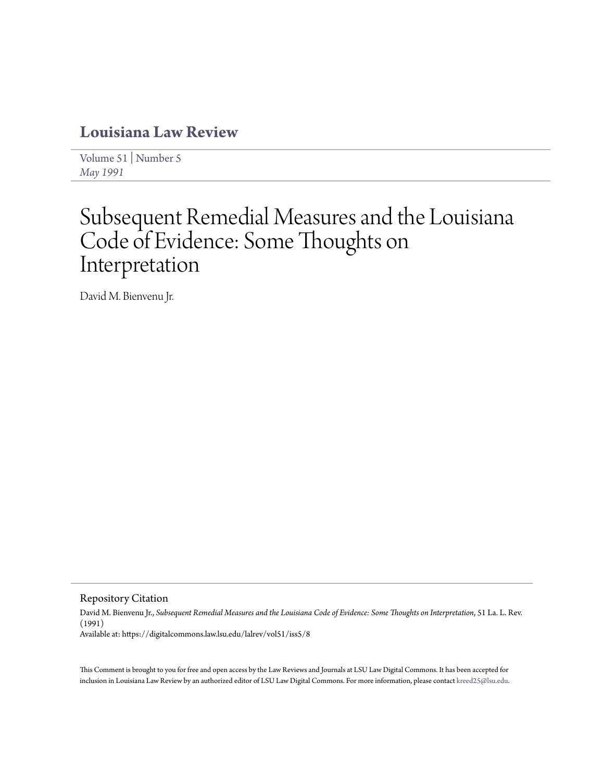# **[Louisiana Law Review](https://digitalcommons.law.lsu.edu/lalrev)**

[Volume 51](https://digitalcommons.law.lsu.edu/lalrev/vol51) | [Number 5](https://digitalcommons.law.lsu.edu/lalrev/vol51/iss5) *[May 1991](https://digitalcommons.law.lsu.edu/lalrev/vol51/iss5)*

# Subsequent Remedial Measures and the Louisiana Code of Evidence: Some Thoughts on Interpretation

David M. Bienvenu Jr.

Repository Citation

David M. Bienvenu Jr., *Subsequent Remedial Measures and the Louisiana Code of Evidence: Some Thoughts on Interpretation*, 51 La. L. Rev. (1991) Available at: https://digitalcommons.law.lsu.edu/lalrev/vol51/iss5/8

This Comment is brought to you for free and open access by the Law Reviews and Journals at LSU Law Digital Commons. It has been accepted for inclusion in Louisiana Law Review by an authorized editor of LSU Law Digital Commons. For more information, please contact [kreed25@lsu.edu](mailto:kreed25@lsu.edu).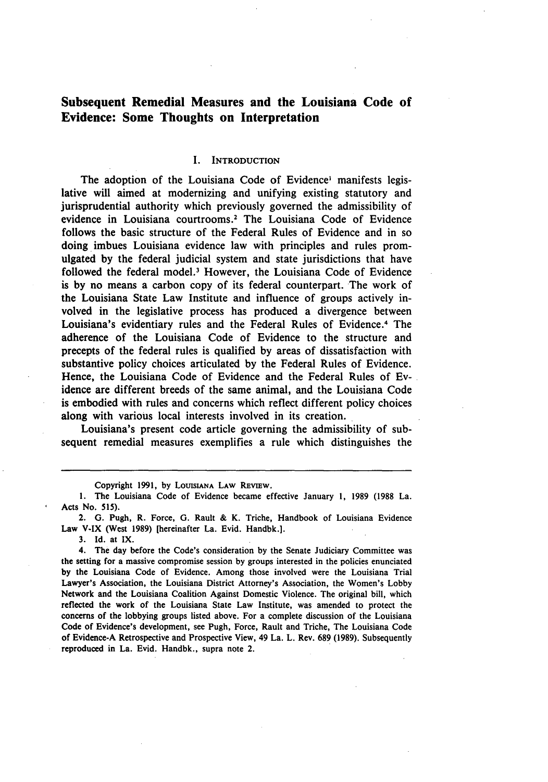# **Subsequent Remedial Measures and the Louisiana Code of Evidence: Some Thoughts on Interpretation**

#### I. INTRODUCTION

The adoption of the Louisiana Code of Evidence' manifests legislative will aimed at modernizing and unifying existing statutory and jurisprudential authority which previously governed the admissibility of evidence in Louisiana courtrooms.' The Louisiana Code of Evidence follows the basic structure of the Federal Rules of Evidence and in so doing imbues Louisiana evidence law with principles and rules promulgated **by** the federal judicial system and state jurisdictions that have followed the federal model.3 However, the Louisiana Code of Evidence is **by** no means a carbon copy of its federal counterpart. The work of the Louisiana State Law Institute and influence of groups actively involved in the legislative process has produced a divergence between Louisiana's evidentiary rules and the Federal Rules of Evidence.<sup>4</sup> The adherence of the Louisiana Code of Evidence to the structure and precepts of the federal rules is qualified **by** areas of dissatisfaction with substantive policy choices articulated **by** the Federal Rules of Evidence. Hence, the Louisiana Code of Evidence and the Federal Rules of Evidence are different breeds of the same animal, and the Louisiana Code is embodied with rules and concerns which reflect different policy choices along with various local interests involved in its creation.

Louisiana's present code article governing the admissibility of subsequent remedial measures exemplifies a rule which distinguishes the

**3. Id.** at **IX.**

4. The day before the Code's consideration **by** the Senate Judiciary Committee was the setting for a massive compromise session **by** groups interested in the policies enunciated **by** the Louisiana Code of Evidence. Among those involved were the Louisiana Trial Lawyer's Association, the Louisiana District Attorney's Association, the Women's Lobby Network and the Louisiana Coalition Against Domestic Violence. The original bill, which reflected the work of the Louisiana State Law Institute, was amended to protect the concerns of the lobbying groups listed above. For a complete discussion of the Louisiana Code of Evidence's development, see Pugh, Force, Rault and Triche, The Louisiana Code of Evidence-A Retrospective and Prospective View, 49 La. L. Rev. **689 (1989).** Subsequently reproduced in La. Evid. Handbk., supra note 2.

Copyright **1991, by LOUISIANA** LAW **REvIEW.**

**<sup>1.</sup>** The Louisiana Code of Evidence became effective January **1, 1989 (1988** La. Acts No. **515).**

<sup>2.</sup> **G.** Pugh, R. Force, *G.* Rault & K. Triche, Handbook of Louisiana Evidence Law V-IX (West **1989)** [hereinafter La. Evid. Handbk.].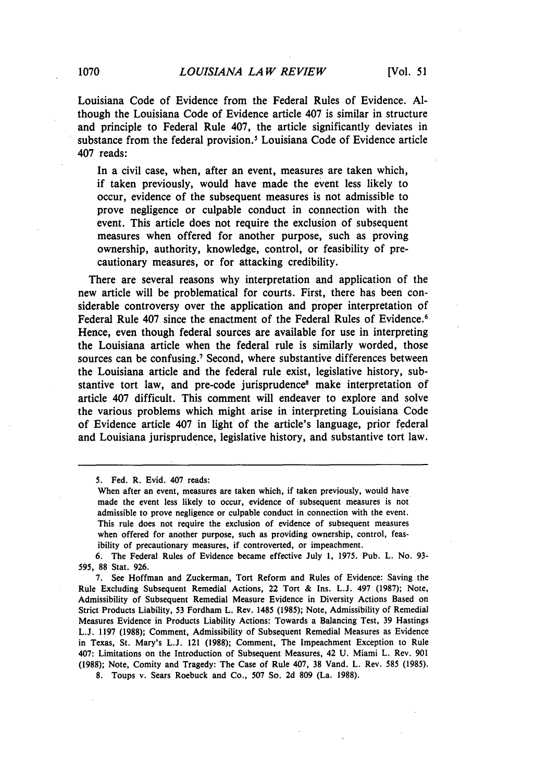Louisiana Code of Evidence from the Federal Rules of Evidence. **Al**though the Louisiana Code of Evidence article 407 is similar in structure and principle to Federal Rule 407, the article significantly deviates in substance from the federal provision.' Louisiana Code of Evidence article 407 reads:

In a civil case, when, after an event, measures are taken which, if taken previously, would have made the event less likely to occur, evidence of the subsequent measures is not admissible to prove negligence or culpable conduct in connection with the event. This article does not require the exclusion of subsequent measures when offered for another purpose, such as proving ownership, authority, knowledge, control, or feasibility of precautionary measures, or for attacking credibility.

There are several reasons why interpretation and application of the new article will be problematical for courts. First, there has been considerable controversy over the application and proper interpretation of Federal Rule 407 since the enactment of the Federal Rules of Evidence.<sup>6</sup> Hence, even though federal sources are available for use in interpreting the Louisiana article when the federal rule is similarly worded, those sources can be confusing.<sup>7</sup> Second, where substantive differences between the Louisiana article and the federal rule exist, legislative history, substantive tort law, and pre-code jurisprudence<sup>8</sup> make interpretation of article 407 difficult. This comment will endeaver to explore and solve the various problems which might arise in interpreting Louisiana Code of Evidence article 407 in light of the article's language, prior federal and Louisiana jurisprudence, legislative history, and substantive tort law.

**8.** Toups v. Sears Roebuck and Co., 507 So. 2d 809 (La. 1988).

<sup>5.</sup> Fed. R. Evid. 407 reads:

When after an event, measures are taken which, if taken previously, would have made the event less likely to occur, evidence of subsequent measures is not admissible to prove negligence or culpable conduct in connection with the event. This rule does not require the exclusion of evidence of subsequent measures when offered for another purpose, such as providing ownership, control, feasibility of precautionary measures, if controverted, or impeachment.

<sup>6.</sup> The Federal Rules of Evidence became effective July 1, 1975. Pub. L. No. **93- 595,** 88 Stat. 926.

<sup>7.</sup> See Hoffman and Zuckerman, Tort Reform and Rules of Evidence: Saving the Rule Excluding Subsequent Remedial Actions, 22 Tort & Ins. L.J. 497 (1987); Note, Admissibility of Subsequent Remedial Measure Evidence in Diversity Actions Based on Strict Products Liability, 53 Fordham L. Rev. 1485 (1985); Note, Admissibility of Remedial Measures Evidence in Products Liability Actions: Towards a Balancing Test, 39 Hastings L.J. 1197 (1988); Comment, Admissibility of Subsequent Remedial Measures as Evidence in Texas, St. Mary's L.J. 121 (1988); Comment, The Impeachment Exception to Rule 407: Limitations on the Introduction of Subsequent Measures, 42 U. Miami L. Rev. 901 (1988); Note, Comity and Tragedy: The Case of Rule 407, 38 Vand. L. Rev. 585 (1985).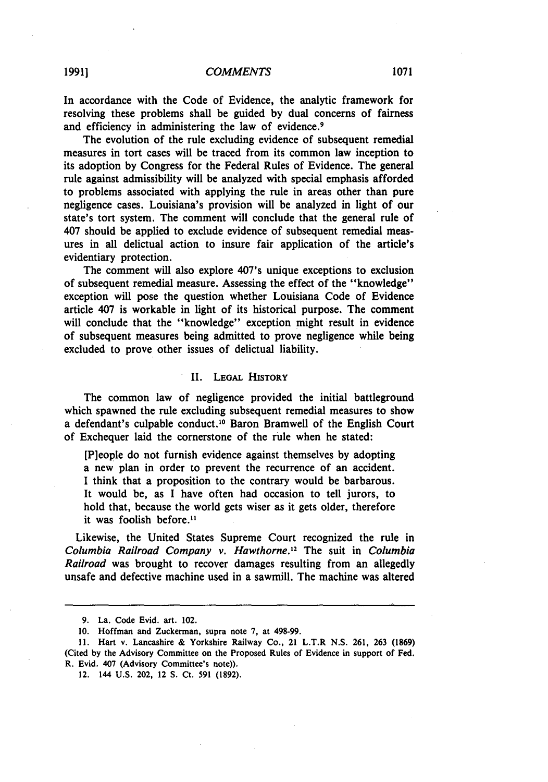In accordance with the Code of Evidence, the analytic framework for resolving these problems shall be guided **by** dual concerns of fairness and efficiency in administering the law of evidence.<sup>9</sup>

The evolution of the rule excluding evidence of subsequent remedial measures in tort cases will be traced from its common law inception to its adoption **by** Congress for the Federal Rules of Evidence. The general rule against admissibility will be analyzed with special emphasis afforded to problems associated with applying the rule in areas other than pure negligence cases. Louisiana's provision will be analyzed in light of our state's tort system. The comment will conclude that the general rule of 407 should be applied to exclude evidence of subsequent remedial measures in all delictual action to insure fair application of the article's evidentiary protection.

The comment will also explore 407's unique exceptions to exclusion of subsequent remedial measure. Assessing the effect of the "knowledge" exception will pose the question whether Louisiana Code of Evidence article 407 is workable in light of its historical purpose. The comment will conclude that the "knowledge" exception might result in evidence of subsequent measures being admitted to prove negligence while being excluded to prove other issues of delictual liability.

#### II. LEOAL HISTORY

The common law of negligence provided the initial battleground which spawned the rule excluding subsequent remedial measures to show a defendant's culpable conduct. 10 Baron Bramwell of the English Court of Exchequer laid the cornerstone of the rule when he stated:

[P]eople do not furnish evidence against themselves **by** adopting a new plan in order to prevent the recurrence of an accident. **I** think that a proposition to the contrary would be barbarous. It would be, as I have often had occasion to tell jurors, to hold that, because the world gets wiser as it gets older, therefore it was foolish before.<sup>11</sup>

Likewise, the United States Supreme Court recognized the rule in Columbia Railroad Company v. Hawthorne.'2 The suit in Columbia Railroad was brought to recover damages resulting from an allegedly unsafe and defective machine used in a sawmill. The machine was altered

**<sup>9.</sup>** La. Code Evid. art. 102.

**<sup>10.</sup>** Hoffman and Zuckerman, supra note **7,** at **498-99.**

**<sup>11.</sup>** Hart v. Lancashire **&** Yorkshire Railway Co., 21 L.T.R **N.S. 261, 263 (1869)** (Cited **by** the Advisory Committee on the Proposed Rules of Evidence in support of Fed. R. Evid. 407 (Advisory Committee's note)).

<sup>12. 144</sup> **U.S.** 202, 12 **S.** Ct. **591 (1892).**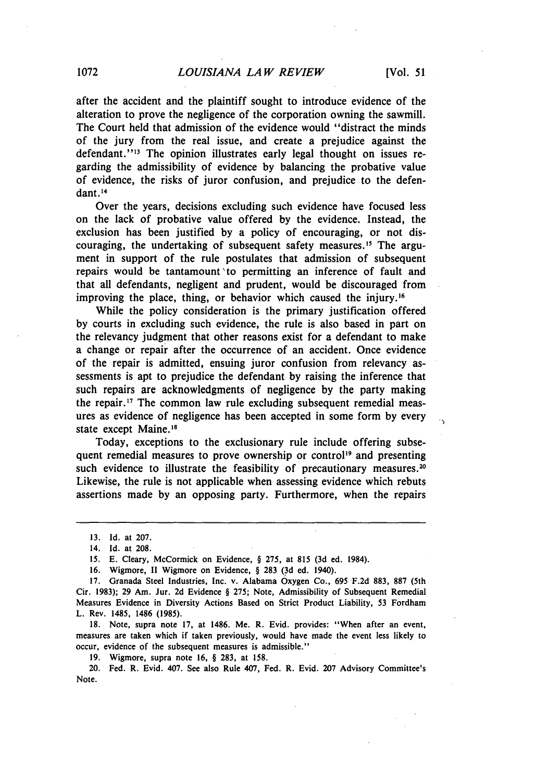$\ddot{\phantom{0}}$ 

after the accident and the plaintiff sought to introduce evidence of the alteration to prove the negligence of the corporation owning the sawmill. The Court held that admission of the evidence would "distract the minds of the jury from the real issue, and create a prejudice against the defendant."<sup>13</sup> The opinion illustrates early legal thought on issues regarding the admissibility of evidence by balancing the probative value of evidence, the risks of juror confusion, and prejudice to the defendant.<sup>14</sup>

Over the years, decisions excluding such evidence have focused less on the lack of probative value offered by the evidence. Instead, the exclusion has been justified by a policy of encouraging, or not discouraging, the undertaking of subsequent safety measures.'" The argument in support of the rule postulates that admission of subsequent repairs would be tantamount 'to permitting an inference of fault and that all defendants, negligent and prudent, would be discouraged from improving the place, thing, or behavior which caused the injury.<sup>16</sup>

While the policy consideration is the primary justification offered by courts in excluding such evidence, the rule is also based in part on the relevancy judgment that other reasons exist for a defendant to make a change or repair after the occurrence of an accident. Once evidence of the repair is admitted, ensuing juror confusion from relevancy assessments is apt to prejudice the defendant by raising the inference that such repairs are acknowledgments of negligence by the party making the repair. **' 7** The common law rule excluding subsequent remedial measures as evidence of negligence has been accepted in some form by every state except Maine.<sup>18</sup>

Today, exceptions to the exclusionary rule include offering subsequent remedial measures to prove ownership or control<sup>19</sup> and presenting such evidence to illustrate the feasibility of precautionary measures.<sup>20</sup> Likewise, the rule is not applicable when assessing evidence which rebuts assertions made by an opposing party. Furthermore, when the repairs

18. Note, supra note 17, at 1486. Me. R. Evid. provides: "When after an event, measures are taken which if taken previously, would have made the event less likely to occur, evidence of the subsequent measures is admissible."

**19.** Wigmore, supra note **16,** § **283,** at **158.**

20. Fed. R. Evid. 407. See also Rule 407, Fed. R. Evid. 207 Advisory Committee's Note.

**<sup>13.</sup>** Id. at 207.

<sup>14.</sup> **Id.** at 208.

<sup>15.</sup> E. Cleary, McCormick on Evidence, § 275, at 815 (3d ed. 1984).

<sup>16.</sup> Wigmore, II Wigmore on Evidence, § 283 (3d ed. 1940).

<sup>17.</sup> Granada Steel Industries, Inc. v. Alabama Oxygen Co., 695 F.2d 883, **887** (5th Cir. 1983); 29 Am. Jur. 2d Evidence § 275; Note, Admissibility of Subsequent Remedial Measures Evidence in Diversity Actions Based on Strict Product Liability, 53 Fordham L. Rev. 1485, 1486 (1985).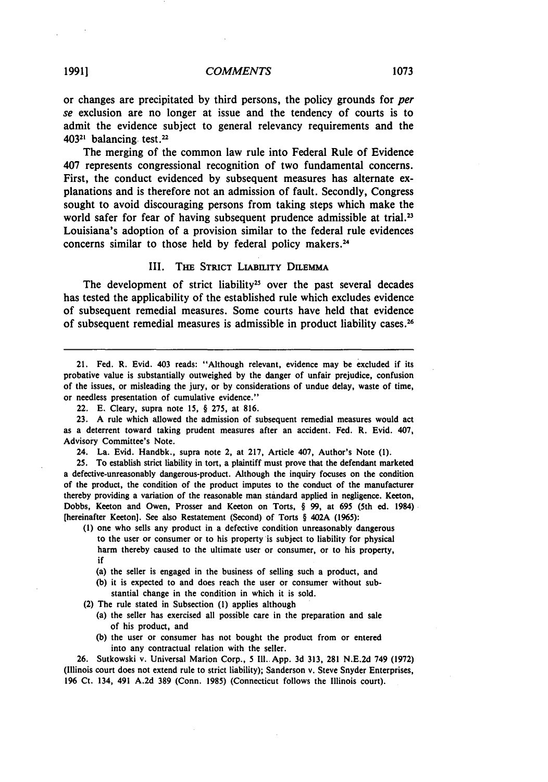# *COMMENTS* **1073 19911**

or changes are precipitated **by** third persons, the policy grounds for *per se* exclusion are no longer at issue and the tendency of courts is to admit the evidence subject to general relevancy requirements and the 40321 balancing test.<sup>22</sup>

The merging of the common law rule into Federal Rule of Evidence 407 represents congressional recognition of two fundamental concerns. First, the conduct evidenced by subsequent measures has alternate explanations and is therefore not an admission of fault. Secondly, Congress sought to avoid discouraging persons from taking steps which make the world safer for fear of having subsequent prudence admissible at trial.<sup>23</sup> Louisiana's adoption of a provision similar to the federal rule evidences concerns similar to those held **by** federal policy makers. <sup>24</sup>

#### III. THE STRICT LIABILITY DILEMMA

The development of strict liability<sup>25</sup> over the past several decades has tested the applicability of the established rule which excludes evidence of subsequent remedial measures. Some courts have held that evidence of subsequent remedial measures is admissible in product liability cases. <sup>26</sup>

21. Fed. R. Evid. 403 reads: "Although relevant, evidence may be excluded if its probative value is substantially outweighed **by** the danger of unfair prejudice, confusion of the issues, or misleading the jury, or **by** considerations of undue delay, waste of time, or needless presentation of cumulative evidence."

23. A rule which allowed the admission of subsequent remedial measures would act as a deterrent toward taking prudent measures after an accident. Fed. R. Evid. 407, Advisory Committee's Note.

24. La. Evid. Handbk., supra note 2, at 217, Article 407, Author's Note (1).

25. To establish strict liability in tort, a plaintiff must prove that the defendant marketed a defective-unreasonably dangerous-product. Although the inquiry focuses on the condition of the product, the condition of the product imputes to the conduct of the manufacturer thereby providing a variation of the reasonable man standard applied in negligence. Keeton, Dobbs, Keeton and Owen, Prosser and Keeton on Torts, § 99, at 695 (5th ed. 1984) [hereinafter Keeton]. See also Restatement (Second) of Torts § 402A (1965):

**(1)** one who sells any product in a defective condition unreasonably dangerous to the user or consumer or to his property is subject to liability for physical harm thereby caused to the ultimate user or consumer, or to his property, if

- (a) the seller is engaged in the business of selling such a product, and
- (b) it is expected to and does reach the user or consumer without substantial change in the condition in which it is sold.

(2) The rule stated in Subsection **(1)** applies although

- (a) the seller has exercised all possible care in the preparation and sale of his product, and
- **(b)** the user or consumer has not bought the product from or entered into any contractual relation with the seller.

26. Sutkowski v. Universal Marion Corp., 5 **Ill..App.** 3d 313, **281** N.E.2d 749 (1972) (Illinois court does not extend rule to strict liability); Sanderson v. Steve Snyder Enterprises, 196 Ct. 134, 491 A.2d **389** (Conn. 1985) (Connecticut follows the Illinois court).

<sup>22.</sup> E. Cleary, supra note 15, § 275, at 816.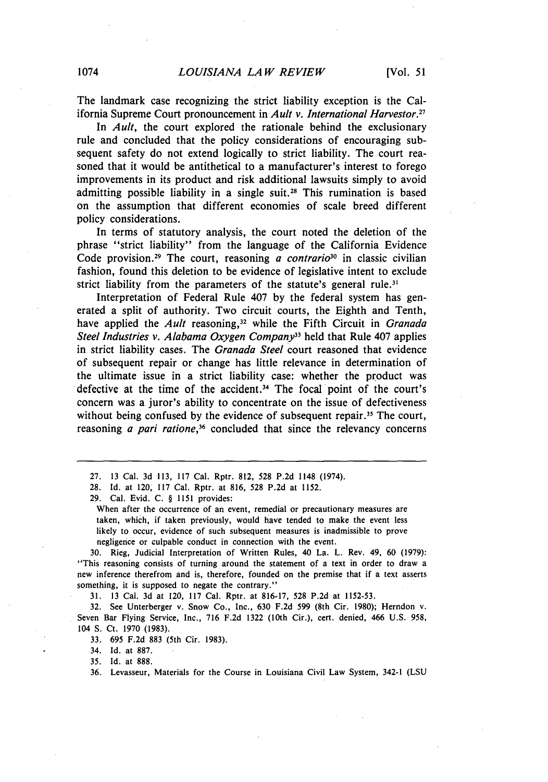The landmark case recognizing the strict liability exception is the California Supreme Court pronouncement in *Ault v. International Harvestor*.<sup>27</sup>

In *Ault,* the court explored the rationale behind the exclusionary rule and concluded that the policy considerations of encouraging subsequent safety do not extend logically to strict liability. The court reasoned that it would be antithetical to a manufacturer's interest to forego improvements in its product and risk additional lawsuits simply to avoid admitting possible liability in a single suit.<sup>28</sup> This rumination is based on the assumption that different economies of scale breed different policy considerations.

In terms of statutory analysis, the court noted the deletion of the phrase "strict liability" from the language of the California Evidence Code provision. 29 The court, reasoning *a contrario3°* in classic civilian fashion, found this deletion to be evidence of legislative intent to exclude strict liability from the parameters of the statute's general rule.<sup>31</sup>

Interpretation of Federal Rule 407 **by** the federal system has generated a split of authority. Two circuit courts, the Eighth and Tenth, have applied the *Ault* reasoning,<sup>32</sup> while the Fifth Circuit in *Granada Steel Industries v. Alabama Oxygen Company3* held that Rule 407 applies in strict liability cases. The *Granada Steel* court reasoned that evidence of subsequent repair or change has little relevance in determination of the ultimate issue in a strict liability case: whether the product was defective at the time of the accident.34 The focal point of the court's concern was a juror's ability to concentrate on the issue of defectiveness without being confused by the evidence of subsequent repair.<sup>35</sup> The court, reasoning *a pari ratione,36* concluded that since the relevancy concerns

29. Cal. Evid. C. § 1151 provides:

When after the occurrence of an event, remedial or precautionary measures are taken, which, if taken previously, would have tended to make the event less likely to occur, evidence of such subsequent measures is inadmissible to prove negligence or culpable conduct in connection with the event.

30. Rieg, Judicial Interpretation of Written Rules, 40 La. L. Rev. 49, 60 (1979): "This reasoning consists of turning around the statement of a text in order to draw a new inference therefrom and is, therefore, founded on the premise that if a text asserts something, it is supposed to negate the contrary."

31. 13 Cal. 3d at 120, 117 Cal. Rptr. at 816-17, 528 P.2d at 1152-53.

32. See Unterberger v. Snow Co., Inc., 630 F.2d 599 (8th Cir. 1980); Herndon v. Seven Bar Flying Service, Inc., 716 F.2d 1322 (10th Cir.), cert. denied, 466 U.S. 958, 104 **S.** Ct. 1970 (1983).

33. 695 F.2d 883 (5th Cir. 1983).

34. Id. at 887.

35. Id. at 888.

36. Levasseur, Materials for the Course in Louisiana Civil Law System, 342-1 (LSU

<sup>27. 13</sup> Cal. 3d 113, 117 Cal. Rptr. 812, 528 P.2d 1148 (1974).

<sup>28.</sup> Id. at 120, 117 Cal. Rptr. at 816, 528 P.2d at 1152.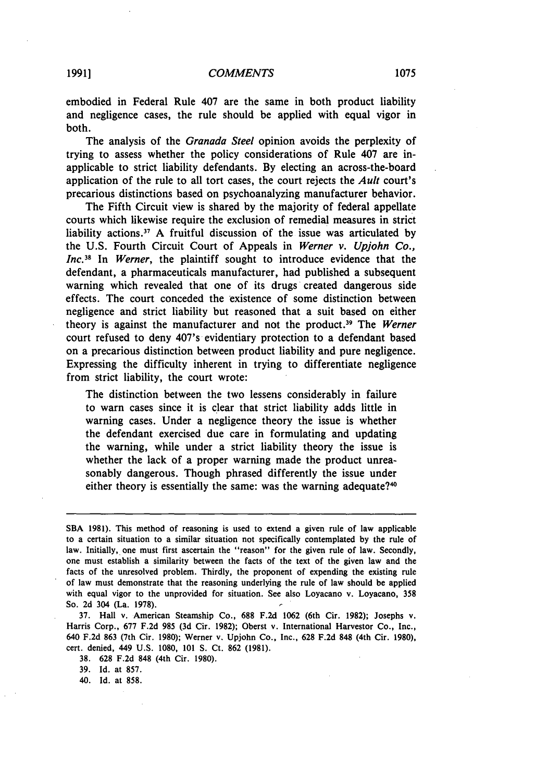embodied in Federal Rule 407 are the same in both product liability and negligence cases, the rule should be applied with equal vigor in both.

The analysis of the *Granada Steel* opinion avoids the perplexity of trying to assess whether the policy considerations of Rule 407 are inapplicable to strict liability defendants. By electing an across-the-board application of the rule to all tort cases, the court rejects the *Ault* court's precarious distinctions based on psychoanalyzing manufacturer behavior.

The Fifth Circuit view is shared by the majority of federal appellate courts which likewise require the exclusion of remedial measures in strict liability actions.<sup>37</sup> A fruitful discussion of the issue was articulated by the U.S. Fourth Circuit Court of Appeals in *Werner v. Upjohn Co.,* Inc.<sup>38</sup> In Werner, the plaintiff sought to introduce evidence that the defendant, a pharmaceuticals manufacturer, had published a subsequent warning which revealed that one of its drugs created dangerous side effects. The court conceded the 'existence of some distinction between negligence and strict liability but reasoned that a suit based on either theory is against the manufacturer and not the product.39 The *Werner* court refused to deny 407's evidentiary protection to a defendant based on a precarious distinction between product liability and pure negligence. Expressing the difficulty inherent in trying to differentiate negligence from strict liability, the court wrote:

The distinction between the two lessens considerably in failure to warn cases since it is clear that strict liability adds little in warning cases. Under a negligence theory the issue is whether the defendant exercised due care in formulating and updating the warning, while under a strict liability theory the issue is whether the lack of a proper warning made the product unreasonably dangerous. Though phrased differently the issue under either theory is essentially the same: was the warning adequate?<sup>40</sup>

**37.** Hall v. American Steamship Co., **688 F.2d 1062** (6th Cir. **1982);** Josephs v. Harris Corp., **677 F.2d 985 (3d** Cir. **1982);** Oberst v. International Harvestor Co., Inc., 640 **F.2d 863** (7th Cir. **1980);** Werner v. Upjohn Co., Inc., **628 F.2d 848** (4th Cir. **1980),** cert. denied, 449 U.S. **1080, 101 S.** Ct. **862 (1981).**

**38. 628 F.2d 848** (4th Cir. **1980).**

**39.** Id. at **857.**

40. Id. at **858.**

SBA 1981). This method of reasoning is used to extend a given rule of law applicable to a certain situation to a similar situation not specifically contemplated **by** the rule of law. Initially, one must first ascertain the "reason" for the given rule of law. Secondly, one must establish a similarity between the facts of the text of the given law and the facts of the unresolved problem. Thirdly, the proponent of expending the existing rule of law must demonstrate that the reasoning underlying the rule of law should be applied with equal vigor to the unprovided for situation. See also Loyacano v. Loyacano, **358** So. **2d** 304 (La. **1978).**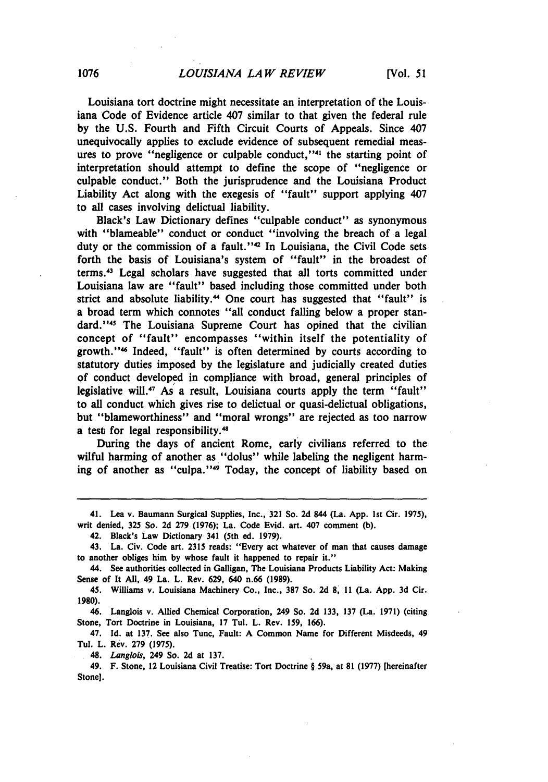Louisiana tort doctrine might necessitate an interpretation of the Louisiana Code of Evidence article 407 similar to that given the federal rule **by** the **U.S.** Fourth and Fifth Circuit Courts of Appeals. Since 407 unequivocally applies to exclude evidence of subsequent remedial measures to prove "negligence or culpable conduct,"<sup>41</sup> the starting point of interpretation should attempt to define the scope of "negligence or culpable conduct." Both the jurisprudence and the Louisiana Product Liability Act along with the exegesis of "fault" support applying 407 to all cases involving delictual liability.

Black's Law Dictionary defines "culpable conduct" as synonymous with "blameable" conduct or conduct "involving the breach of a legal duty or the commission of a fault."<sup>42</sup> In Louisiana, the Civil Code sets forth the basis of Louisiana's system of "fault" in the broadest of terms.'3 Legal scholars have suggested that all torts committed under Louisiana law are "fault" based including those committed under both strict and absolute liability.<sup>44</sup> One court has suggested that "fault" is a broad term which connotes "all conduct falling below a proper standard."<sup>45</sup> The Louisiana Supreme Court has opined that the civilian concept of "fault" encompasses "within itself the potentiality of growth." 46 Indeed, "fault" is often determined **by** courts according to statutory duties imposed **by** the legislature and judicially created duties of conduct developed in compliance with broad, general principles of legislative will.<sup>47</sup> As a result, Louisiana courts apply the term "fault" to all conduct which gives rise to delictual or quasi-delictual obligations, but "blameworthiness" and "moral wrongs" are rejected as too narrow a test for legal responsibility.<sup>48</sup>

During the days of ancient Rome, early civilians referred to the wilful harming of another as "dolus" while labeling the negligent harming of another as "culpa."<sup>49</sup> Today, the concept of liability based on

<sup>41.</sup> Lea v. Baumann Surgical Supplies, Inc., **321** So. **2d** 844 (La. **App. 1st** Cir. **1975),** writ denied, **325** So. **2d 279 (1976);** La. Code Evid. art. 407 comment **(b).**

<sup>42.</sup> Black's Law Dictionary 341 (5th ed. **1979).**

<sup>43.</sup> La. Civ. Code art. **2315** reads: "Every act whatever of man that causes damage to another obliges him **by** whose fault it happened to repair it."

<sup>44.</sup> See authorities collected in Galligan, The Louisiana Products Liability Act: Making Sense of It **All,** 49 La. L. Rev. **629,** 640 n.66 **(1989).**

<sup>45.</sup> Williams v. Louisiana Machinery Co., Inc., **387** So. **2d 8, 11** (La. **App. 3d** Cir. **1980).**

<sup>46.</sup> Langlois v. Allied Chemical Corporation, 249 So. **2d 133, 137** (La. **1971)** (citing Stone, Tort Doctrine in Louisiana, **17** Tul. L. Rev. **159, 166).**

<sup>47.</sup> **Id.** at **137.** See also Tunc, Fault: **A** Common Name for Different Misdeeds, 49 Tul. L. Rev. **279 (1975).**

<sup>48.</sup> Langlois, 249 So. **2d** at **137.**

<sup>49.</sup> F. Stone, 12 Louisiana Civil Treatise: Tort Doctrine **§** 59a, at **81 (1977)** [hereinafter Stone].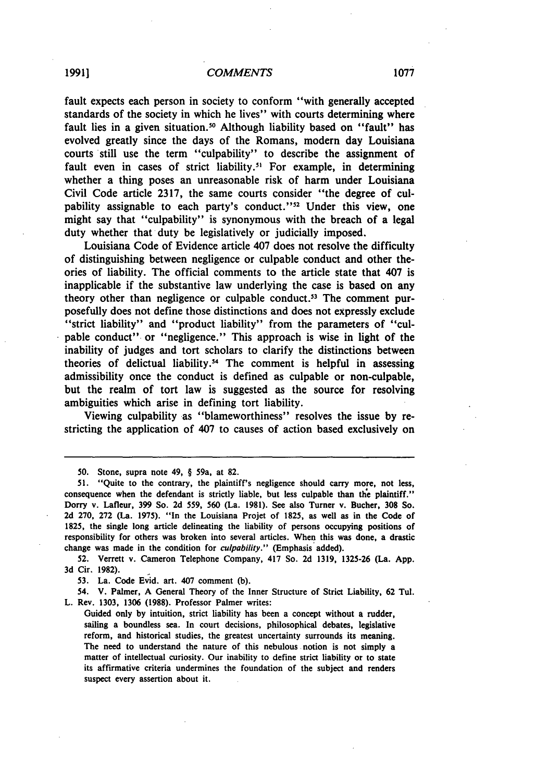## *COMMENTS* **1991] 1077**

fault expects each person in society to conform "with generally accepted standards of the society in which he lives" with courts determining where fault lies in a given situation.<sup>50</sup> Although liability based on "fault" has evolved greatly since the days of the Romans, modern day Louisiana courts still use the term "culpability" to describe the assignment of fault even in cases of strict liability.<sup>51</sup> For example, in determining whether a thing poses an unreasonable risk of harm under Louisiana Civil Code article **2317,** the same courts consider "the degree of culpability assignable to each party's conduct."<sup>52</sup> Under this view, one might say that "culpability" is synonymous with the breach of a legal duty whether that duty be legislatively or judicially imposed.

Louisiana Code of Evidence article 407 does not resolve the difficulty of distinguishing between negligence or culpable conduct and other theories of liability. The official comments to the article state that 407 is inapplicable if the substantive law underlying the case is based on any theory other than negligence or culpable conduct.<sup>53</sup> The comment purposefully does not define those distinctions and does not expressly exclude "strict liability" and "product liability" from the parameters of "culpable conduct" or "negligence." This approach is wise in light of the inability of judges and tort scholars to clarify the distinctions between theories of delictual liability.<sup>54</sup> The comment is helpful in assessing admissibility once the conduct is defined as culpable or non-culpable, but the realm of tort law is suggested as the source for resolving ambiguities which arise in defining tort liability.

Viewing culpability as "blameworthiness" resolves the issue **by** restricting the application of 407 to causes of action based exclusively on

**50.** Stone, supra note 49, § 59a, at **82.**

**52.** Verrett v. Cameron Telephone Company, 417 So. **2d 1319, 1325-26** (La. **App. 3d** Cir. **1982).**

**53.** La. Code Evid. art. 407 comment **(b).**

54. V. Palmer, **A** General Theory of the Inner Structure of Strict Liability, **62** Tul. L. Rev. **1303, 1306 (1988).** Professor Palmer writes:

Guided only **by** intuition, strict liability has been a concept without a rudder, sailing a boundless sea. In court decisions, philosophical debates, legislative reform, and historical studies, the greatest uncertainty surrounds its meaning. The need to understand the nature of this nebulous notion is not simply a matter of intellectual curiosity. Our inability to define strict liability or to state its affirmative criteria undermines the foundation of the subject and renders suspect every assertion about it.

**<sup>51.</sup>** "Quite to the contrary, the plaintiff's negligence should carry more, not less, consequence when the defendant is strictly liable, but less culpable than the plaintiff." Dorry v. Lafleur, **399** So. **2d 559, 560** (La. **1981).** See also Turner v. Bucher, **308** So. **2d 270, 272** (La. **1975).** "In the Louisiana Projet of **1825,** as well as in the Code of **1825,** the single long article delineating the liability of persons occupying positions of responsibility for others was broken into several articles. When this was done, a drastic change was made in the condition for culpability." (Emphasis added).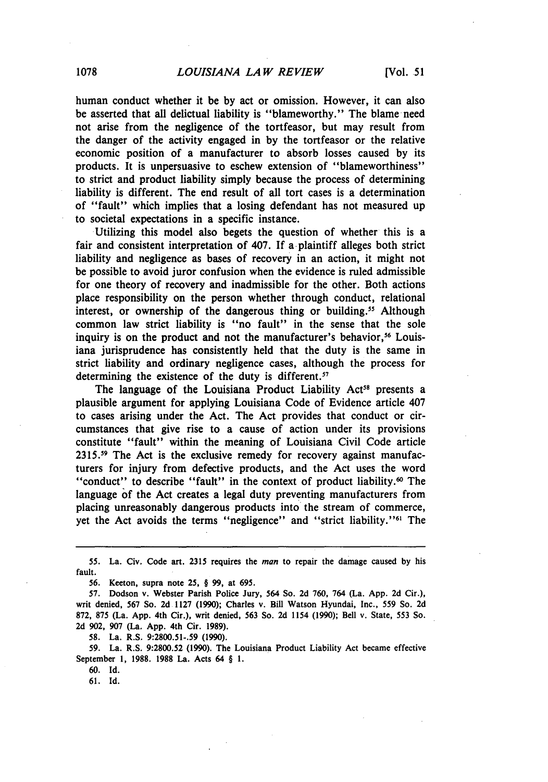human conduct whether it be **by** act or omission. However, it can also be asserted that all delictual liability is "blameworthy." The blame need not arise from the negligence of the tortfeasor, but may result from the danger of the activity engaged in **by** the tortfeasor or the relative economic position of a manufacturer to absorb losses caused **by** its products. It is unpersuasive to eschew extension of "blameworthiness" to strict and product liability simply because the process of determining liability is different. The end result of all tort cases is a determination of "fault" which implies that a losing defendant has not measured up to societal expectations in a specific instance.

Utilizing this model also begets the question of whether this is a fair and consistent interpretation of 407. **If** a-plaintiff alleges both strict liability and negligence as bases of recovery in an action, it might not be possible to avoid juror confusion when the evidence is ruled admissible for one theory of recovery and inadmissible for the other. Both actions place responsibility on the person whether through conduct, relational interest, or ownership of the dangerous thing or building.<sup>55</sup> Although common law strict liability is "no fault" in the sense that the sole inquiry is on the product and not the manufacturer's behavior,<sup>56</sup> Louisiana jurisprudence has consistently held that the duty is the same in strict liability and ordinary negligence cases, although the process for determining the existence of the duty is different.<sup>57</sup>

The language of the Louisiana Product Liability Act<sup>58</sup> presents a plausible argument for applying Louisiana Code of Evidence article 407 to cases arising under the Act. The Act provides that conduct or circumstances that give rise to a cause of action under its provisions constitute "fault" within the meaning of Louisiana Civil Code article **2315.19** The Act is the exclusive remedy for recovery against manufacturers for injury from defective products, and the Act uses the word "conduct" to describe "fault" in the context of product liability. <sup>6</sup> 0 The language of the Act creates a legal duty preventing manufacturers from placing unreasonably dangerous products into the stream of commerce, yet the Act avoids the terms "negligence" and "strict liability."<sup>61</sup> The

**58.** La. R.S. **9:2800.51-.59 (1990).**

**59.** La. R.S. **9:2800.52 (1990).** The Louisiana Product Liability Act became effective September **1, 1988. 1988** La. Acts 64 § **1.**

**60. Id.**

**61. Id.**

**<sup>55.</sup>** La. Civ. **Code** art. **2315** requires the man to repair the damage caused **by** his fault.

**<sup>56.</sup>** Keeton, supra note **25,** § **99,** at **695.**

**<sup>57.</sup>** Dodson v. Webster Parish Police Jury, 564 So. **2d 760,** 764 (La. **App. 2d** Cir.), writ denied, **567** So. **2d 1127 (1990);** Charles v. Bill Watson Hyundai, Inc., **559** So. **2d 872, 875** (La. **App.** 4th Cir.), writ denied, 563 So. **2d** 1154 **(1990);** Bell v. State, 553 So. **2d 902, 907** (La. **App.** 4th Cir. **1989).**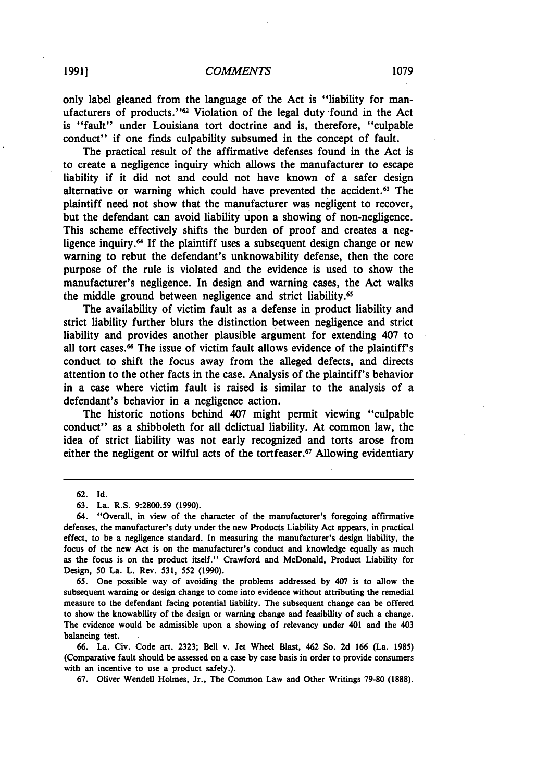## *COMMENTS* **19911 1079**

only label gleaned from the language of the Act is "liability for manufacturers of products."<sup>62</sup> Violation of the legal duty found in the Act is "fault" under Louisiana tort doctrine and is, therefore, "culpable conduct" if one finds culpability subsumed in the concept of fault.

The practical result of the affirmative defenses found in the Act is to create a negligence inquiry which allows the manufacturer to escape liability if it did not and could not have known of a safer design alternative or warning which could have prevented the accident. 63 The plaintiff need not show that the manufacturer was negligent to recover, but the defendant can avoid liability upon a showing of non-negligence. This scheme effectively shifts the burden of proof and creates a negligence inquiry. $<sup>64</sup>$  If the plaintiff uses a subsequent design change or new</sup> warning to rebut the defendant's unknowability defense, then the core purpose of the rule is violated and the evidence is used to show the manufacturer's negligence. In design and warning cases, the Act walks the middle ground between negligence and strict liability. <sup>65</sup>

The availability of victim fault as a defense in product liability and strict liability further blurs the distinction between negligence and strict liability and provides another plausible argument for extending 407 to all tort cases.<sup>66</sup> The issue of victim fault allows evidence of the plaintiff's conduct to shift the focus away from the alleged defects, and directs attention to the other facts in the case. Analysis of the plaintiff's behavior in a case where victim fault is raised is similar to the analysis of a defendant's behavior in a negligence action.

The historic notions behind 407 might permit viewing "culpable conduct" as a shibboleth for all delictual liability. At common law, the idea of strict liability was not early recognized and torts arose from either the negligent or wilful acts of the tortfeaser.<sup>67</sup> Allowing evidentiary

**65.** One possible way of avoiding the problems addressed **by 407** is to allow the subsequent warning or design change to come into evidence without attributing the remedial measure to the defendant facing potential liability. The subsequent change can be offered to show the knowability of the design or warning change and feasibility of such a change. The evidence would be admissible upon a showing of relevancy under 401 and the 403 balancing test.

**66.** La. Civ. Code art. **2323;** Bell v. Jet Wheel Blast, 462 So. **2d 166** (La. **1985)** (Comparative fault should be assessed on a case **by** case basis in order to provide consumers with an incentive to use a product safely.).

**67.** Oliver Wendell Holmes, Jr., The Common Law and Other Writings **79-80 (1888).**

<sup>62.</sup> Id.

**<sup>63.</sup>** La. R.S. **9:2800.59 (1990).**

<sup>64. &</sup>quot;Overall, in view of the character of the manufacturer's foregoing affirmative defenses, the manufacturer's duty under the new Products Liability Act appears, in practical effect, to be a negligence standard. In measuring the manufacturer's design liability, the focus of the new Act is on the manufacturer's conduct and knowledge equally as much as the focus is on the product itself." Crawford and McDonald, Product Liability for Design, **50** La. L. Rev. **531, 552 (1990).**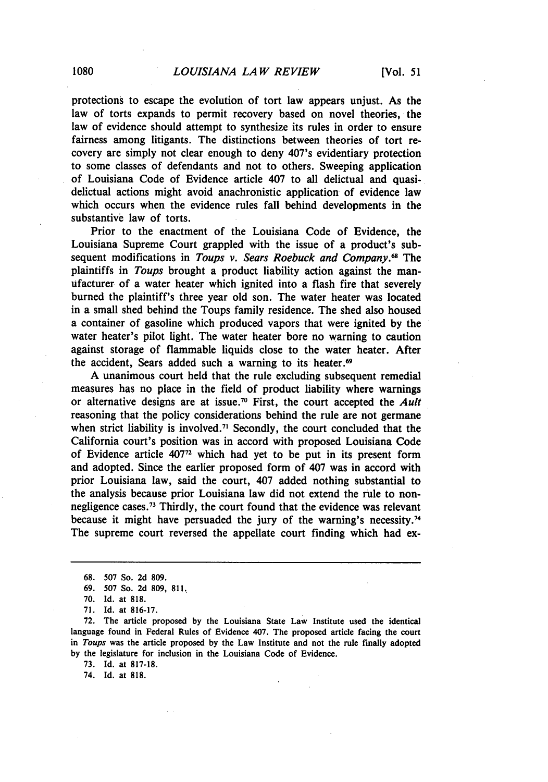protections to escape the evolution of tort law appears unjust. As the law of torts expands to permit recovery based on novel theories, the law of evidence should attempt to synthesize its rules in order to ensure fairness among litigants. The distinctions between theories of tort recovery are simply not clear enough to deny 407's evidentiary protection to some classes of defendants and not to others. Sweeping application of Louisiana Code of Evidence article 407 to all delictual and quasidelictual actions might avoid anachronistic application of evidence law which occurs when the evidence rules fall behind developments in the substantive law of torts.

Prior to the enactment of the Louisiana Code of Evidence, the Louisiana Supreme Court grappled with the issue of a product's subsequent modifications in *Toups v. Sears Roebuck and Company."* The plaintiffs in *Toups* brought a product liability action against the manufacturer of a water heater which ignited into a flash fire that severely burned the plaintiff's three year old son. The water heater was located in a small shed behind the Toups family residence. The shed also housed a container of gasoline which produced vapors that were ignited **by** the water heater's pilot light. The water heater bore no warning to caution against storage of flammable liquids close to the water heater. After the accident, Sears added such a warning to its heater.<sup>69</sup>

**A** unanimous court held that the rule excluding subsequent remedial measures has no place in the field of product liability where warnings or alternative designs are at issue. 70 First, the court accepted the *Ault* reasoning that the policy considerations behind the rule are not germane when strict liability is involved.<sup>71</sup> Secondly, the court concluded that the California court's position was in accord with proposed Louisiana Code of Evidence article **40772** which had yet to be put in its present form and adopted. Since the earlier proposed form of 407 was in accord with prior Louisiana law, said the court, 407 added nothing substantial to the analysis because prior Louisiana law did not extend the rule to nonnegligence cases.<sup>73</sup> Thirdly, the court found that the evidence was relevant because it might have persuaded the jury of the warning's necessity.<sup>74</sup> The supreme court reversed the appellate court finding which had ex-

**73. Id.** at **817-18.**

74. **Id.** at **818.**

**<sup>68. 507</sup>** So. **2d 809.**

**<sup>69. 507</sup>** So. **2d 809, 811.**

**<sup>70.</sup> Id.** at **818.**

**<sup>71.</sup> Id.** at **816-17.**

**<sup>72.</sup>** The article proposed **by** the Louisiana State Law Institute used the identical language found in Federal Rules of Evidence 407. The proposed article facing the court in *Toups* was the article proposed **by** the Law Institute and not the rule finally adopted **by** the legislature for inclusion in the Louisiana Code of Evidence.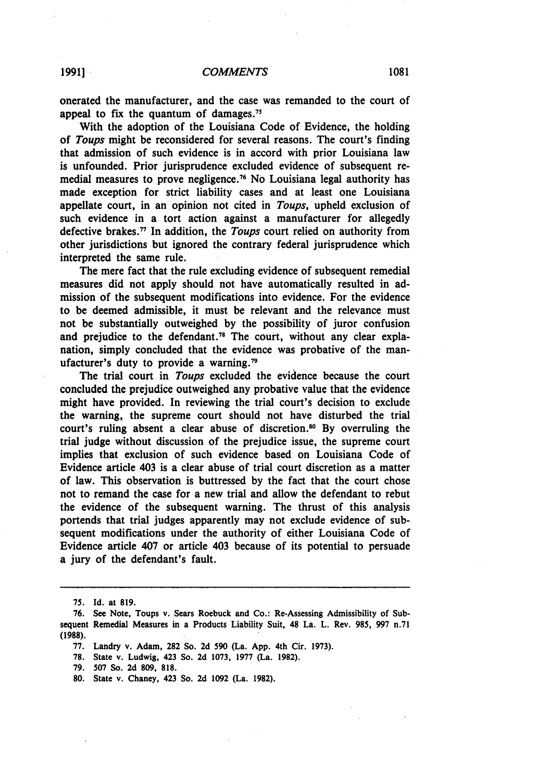onerated the manufacturer, and the case was remanded to the court of appeal to fix the quantum of damages.<sup>75</sup>

With the adoption of the Louisiana Code of Evidence, the holding of *Toups* might be reconsidered for several reasons. The court's finding that admission of such evidence is in accord with prior Louisiana law is unfounded. Prior jurisprudence excluded evidence of subsequent remedial measures to prove negligence.7 <sup>6</sup>**No** Louisiana legal authority has made exception for strict liability cases and at least one Louisiana appellate court, in an opinion not cited in *Toups,* upheld exclusion of such evidence in a tort action against a manufacturer for allegedly defective brakes. 77 In addition, the *Toups* court relied on authority from other jurisdictions but ignored the contrary federal jurisprudence which interpreted the same rule.

The mere fact that the rule excluding evidence of subsequent remedial measures did not apply should not have automatically resulted in admission of the subsequent modifications into evidence. For the evidence to be deemed admissible, it must be relevant and the relevance must not be substantially outweighed **by** the possibility of juror confusion and prejudice to the defendant.<sup>78</sup> The court, without any clear explanation, simply concluded that the evidence was probative of the manufacturer's duty to provide a warning.<sup>79</sup>

The trial court in *Toups* excluded the evidence because the court concluded the prejudice outweighed any probative value that the evidence might have provided. In reviewing the trial court's decision to exclude the warning, the supreme court should not have disturbed the trial court's ruling absent a clear abuse of discretion.<sup>80</sup> By overruling the trial judge without discussion of the prejudice issue, the supreme court implies that exclusion of such evidence based on Louisiana Code of Evidence article 403 is a clear abuse of trial court discretion as a matter of law. This observation is buttressed **by** the fact that the court chose not to remand the case for a new trial and allow the defendant to rebut the evidence of the subsequent warning. The thrust of this analysis portends that trial judges apparently may not exclude evidence of subsequent modifications under the authority of either Louisiana Code of Evidence article 407 or article 403 because of its potential to persuade a jury of the defendant's fault.

- **77.** Landry v. Adam, **282** So. **2d 590** (La. **App.** 4th Cir. **1973).**
- **78.** State v. Ludwig, 423 So. **2d 1073, 1977** (La. **1982).**
- **79. 507** So. **2d 809, 818.**
- **80.** State v. Chaney, 423 So. **2d 1092** (La. **1982).**

**<sup>75.</sup> Id.** at **819.**

**<sup>76.</sup>** See Note, Toups v. Sears Roebuck and Co.: Re-Assessing Admissibility of Subsequent Remedial Measures in a Products Liability Suit, 48 La. L. Rev. **985, 997** n.71 **(1988).**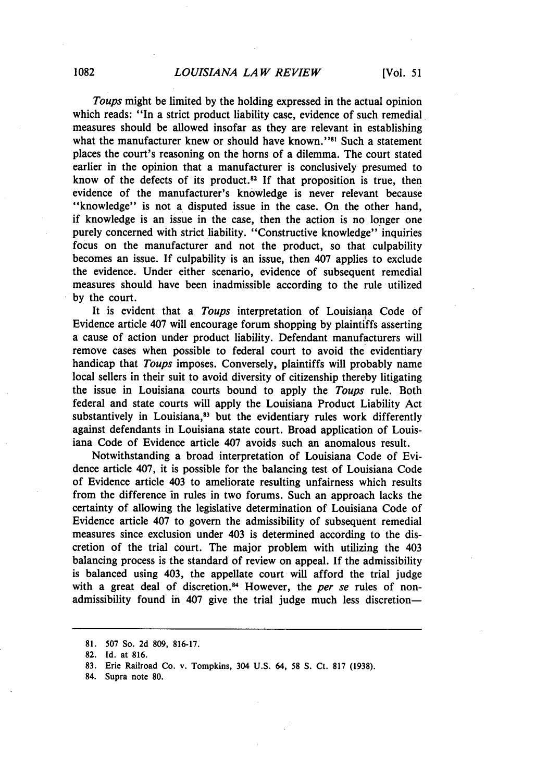*Toups* might be limited by the holding expressed in the actual opinion which reads: "In a strict product liability case, evidence of such remedial measures should be allowed insofar as they are relevant in establishing what the manufacturer knew or should have known."<sup>81</sup> Such a statement places the court's reasoning on the horns of a dilemma. The court stated earlier in the opinion that a manufacturer is conclusively presumed to know of the defects of its product.<sup>82</sup> If that proposition is true, then evidence of the manufacturer's knowledge is never relevant because "knowledge" is not a disputed issue in the case. On the other hand, if knowledge is an issue in the case, then the action is no longer one purely concerned with strict liability. "Constructive knowledge" inquiries focus on the manufacturer and not the product, so that culpability becomes an issue. If culpability is an issue, then 407 applies to exclude the evidence. Under either scenario, evidence of subsequent remedial measures should have been inadmissible according to the rule utilized by the court.

It is evident that a *Toups* interpretation of Louisiana Code of Evidence article 407 will encourage forum shopping by plaintiffs asserting a cause of action under product liability. Defendant manufacturers will remove cases when possible to federal court to avoid the evidentiary handicap that *Toups* imposes. Conversely, plaintiffs will probably name local sellers in their suit to avoid diversity of citizenship thereby litigating the issue in Louisiana courts bound to apply the *Toups* rule. Both federal and state courts will apply the Louisiana Product Liability Act substantively in Louisiana, $83$  but the evidentiary rules work differently against defendants in Louisiana state court. Broad application of Louisiana Code of Evidence article 407 avoids such an anomalous result.

Notwithstanding a broad interpretation of Louisiana Code of Evidence article 407, it is possible for the balancing test of Louisiana Code of Evidence article 403 to ameliorate resulting unfairness which results from the difference in rules in two forums. Such an approach lacks the certainty of allowing the legislative determination of Louisiana Code of Evidence article 407 to govern the admissibility of subsequent remedial measures since exclusion under 403 is determined according to the discretion of the trial court. The major problem with utilizing the 403 balancing process is the standard of review on appeal. If the admissibility is balanced using 403, the appellate court will afford the trial judge with a great deal of discretion.<sup>84</sup> However, the *per se* rules of nonadmissibility found in 407 give the trial judge much less discretion-

**<sup>81.</sup>** 507 So. **2d 809, 816-17.**

<sup>82.</sup> Id. at 816.

<sup>83.</sup> Erie Railroad Co. v. Tompkins, 304 U.S. 64, 58 S. Ct. 817 (1938).

<sup>84.</sup> Supra note 80.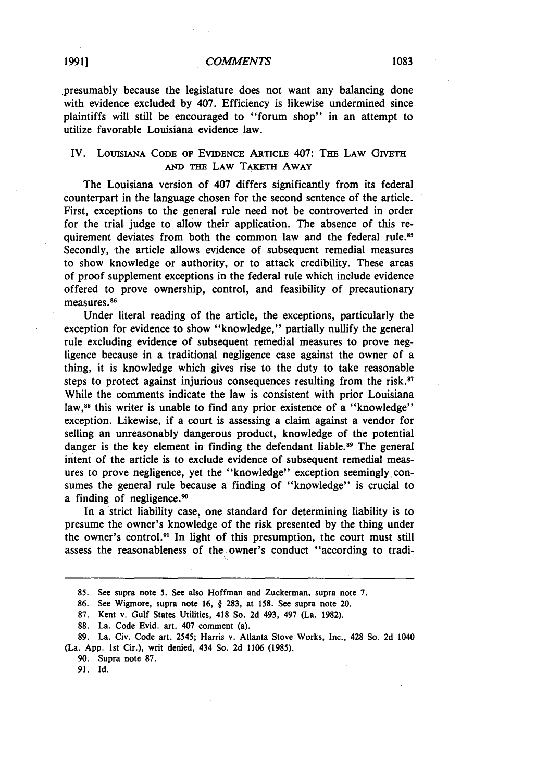presumably because the legislature does not want any balancing done with evidence excluded by 407. Efficiency is likewise undermined since plaintiffs will still be encouraged to "forum shop" in an attempt to utilize favorable Louisiana evidence law.

# IV. LOUISIANA CODE OF EVIDENCE ARTICLE 407: THE LAW GIVETH **AND THE LAW** TAKETH AWAY

The Louisiana version of 407 differs significantly from its federal counterpart in the language chosen for the second sentence of the article. First, exceptions to the general rule need not be controverted in order for the trial judge to allow their application. The absence of this requirement deviates from both the common law and the federal rule.<sup>85</sup> Secondly, the article allows evidence of subsequent remedial measures to show knowledge or authority, or to attack credibility. These areas of proof supplement exceptions in the federal rule which include evidence offered to prove ownership, control, and feasibility of precautionary measures.<sup>86</sup>

Under literal reading of the article, the exceptions, particularly the exception for evidence to show "knowledge," partially nullify the general rule excluding evidence of subsequent remedial measures to prove negligence because in a traditional negligence case against the owner of a thing, it is knowledge which gives rise to the duty to take reasonable steps to protect against injurious consequences resulting from the risk.<sup>87</sup> While the comments indicate the law is consistent with prior Louisiana law,<sup>88</sup> this writer is unable to find any prior existence of a "knowledge" exception. Likewise, if a court is assessing a claim against a vendor for selling an unreasonably dangerous product, knowledge of the potential danger is the key element in finding the defendant liable.<sup>89</sup> The general intent of the article is to exclude evidence of subsequent remedial measures to prove negligence, yet the "knowledge" exception seemingly consumes the general rule because a finding of "knowledge" is crucial to a finding of negligence.<sup>90</sup>

In a strict liability case, one standard for determining liability is to presume the owner's knowledge of the risk presented by the thing under the owner's control.<sup>91</sup> In light of this presumption, the court must still assess the reasonableness of the owner's conduct "according to tradi-

89. La. Civ. Code art. 2545; Harris v. Atlanta Stove Works, Inc., 428 So. **2d** 1040 (La. App. 1st Cir.), writ denied, 434 So. 2d 1106 (1985).

<sup>85.</sup> See supra note 5. See also Hoffman and Zuckerman, supra note 7.

<sup>86.</sup> See Wigmore, supra note 16, § 283, at 158. See supra note 20.

<sup>87.</sup> Kent v. Gulf States Utilities, 418 So. 2d 493, 497 (La. 1982).

<sup>88.</sup> La. Code Evid. art. 407 comment (a).

<sup>90.</sup> Supra note 87.

<sup>91.</sup> Id.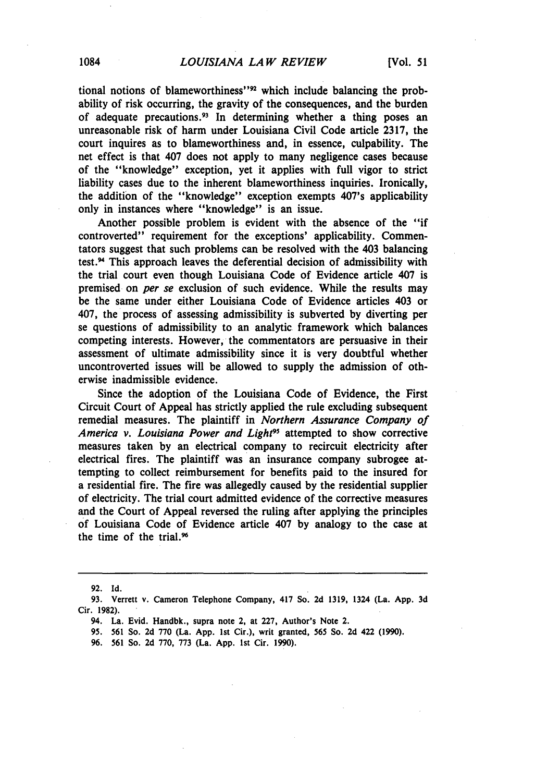tional notions of blameworthiness"<sup>22</sup> which include balancing the probability of risk occurring, the gravity of the consequences, and the burden of adequate precautions.<sup>93</sup> In determining whether a thing poses an unreasonable risk of harm under Louisiana Civil Code article **2317,** the court inquires as to blameworthiness and, in essence, culpability. The net effect is that 407 does not apply to many negligence cases because of the "knowledge" exception, yet it applies with full vigor to strict liability cases due to the inherent blameworthiness inquiries. Ironically, the addition of the "knowledge" exception exempts 407's applicability only in instances where "knowledge" is an issue.

Another possible problem is evident with the absence of the "if controverted" requirement for the exceptions' applicability. Commentators suggest that such problems can be resolved with the 403 balancing test.94 This approach leaves the deferential decision of admissibility with the trial court even though Louisiana Code of Evidence article 407 is premised on *per se* exclusion of such evidence. While the results may be the same under either Louisiana Code of Evidence articles 403 or 407, the process of assessing admissibility is subverted **by** diverting per se questions of admissibility to an analytic framework which balances competing interests. However, the commentators are persuasive in their assessment of ultimate admissibility since it is very doubtful whether uncontroverted issues will be allowed to supply the admission of otherwise inadmissible evidence.

Since the adoption **of** the Louisiana Code of Evidence, the First Circuit Court of Appeal has strictly applied the rule excluding subsequent remedial measures. The plaintiff in *Northern Assurance Company of* America v. Louisiana Power and Light<sup>95</sup> attempted to show corrective measures taken **by** an electrical company to recircuit electricity after electrical fires. The plaintiff was an insurance company subrogee attempting to collect reimbursement for benefits paid to the insured for a residential fire. The fire was allegedly caused **by** the residential supplier of electricity. The trial court admitted evidence of the corrective measures and the Court of Appeal reversed the ruling after applying the principles of Louisiana Code of Evidence article 407 **by** analogy to the case at the time of the trial.<sup>96</sup>

**<sup>92.</sup> Id.**

**<sup>93.</sup>** Verrett v. Cameron Telephone Company, 417 So. **2d 1319,** 1324 (La. **App. 3d** Cir. **1982).**

<sup>94.</sup> La. Evid. Handbk., supra note 2, at **227,** Author's Note 2.

**<sup>95. 561</sup>** So. **2d 770** (La. **App. 1st** Cir.), writ granted, **565** So. **2d** 422 **(1990).**

**<sup>96. 561</sup>** So. **2d 770, 773** (La. **App. 1st** Cir. **1990).**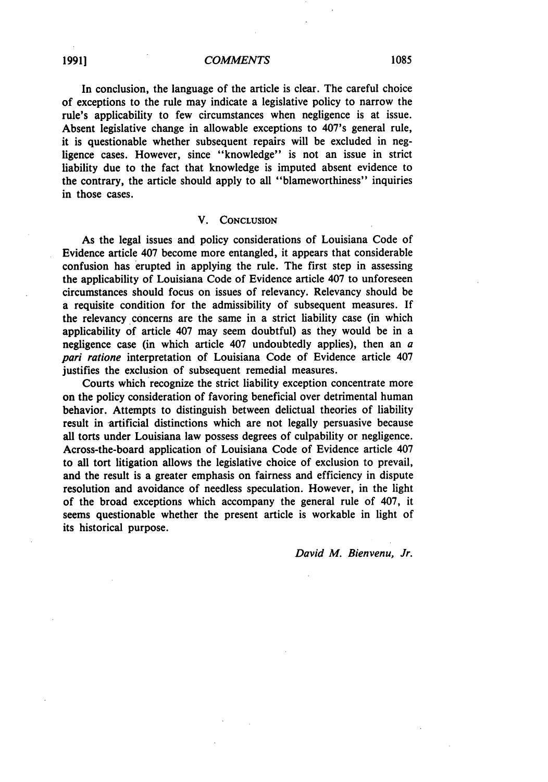In conclusion, the language of the article is clear. The careful choice of exceptions to the rule may indicate a legislative policy to narrow the rule's applicability to few circumstances when negligence is at issue. Absent legislative change in allowable exceptions to 407's general rule, it is questionable whether subsequent repairs will be excluded in negligence cases. However, since "knowledge" is not an issue in strict liability due to the fact that knowledge is imputed absent evidence to the contrary, the article should apply to all "blameworthiness" inquiries in those cases.

#### V. **CONCLUSION**

As the legal issues and policy considerations of Louisiana Code of Evidence article 407 become more entangled, it appears that considerable confusion has erupted in applying the rule. The first step in assessing the applicability of Louisiana Code of Evidence article 407 to unforeseen circumstances should focus on issues of relevancy. Relevancy should be a requisite condition for the admissibility of subsequent measures. **If** the relevancy concerns are the same in a strict liability case (in which applicability of article 407 may seem doubtful) as they would be in a negligence case (in which article 407 undoubtedly applies), then an *a pari ratione* interpretation of Louisiana Code of Evidence article 407 justifies the exclusion of subsequent remedial measures.

Courts which recognize the strict liability exception concentrate more on the policy consideration of favoring beneficial over detrimental human behavior. Attempts to distinguish between delictual theories of liability result in artificial distinctions which are not legally persuasive because all torts under Louisiana law possess degrees of culpability or negligence. Across-the-board application of Louisiana Code of Evidence article 407 to all tort litigation allows the legislative choice of exclusion to prevail, and the result is a greater emphasis on fairness and efficiency in dispute resolution and avoidance of needless speculation. However, in the light of the broad exceptions which accompany the general rule of 407, it seems questionable whether the present article is workable in light of its historical purpose.

*David M. Bienvenu, Jr.*